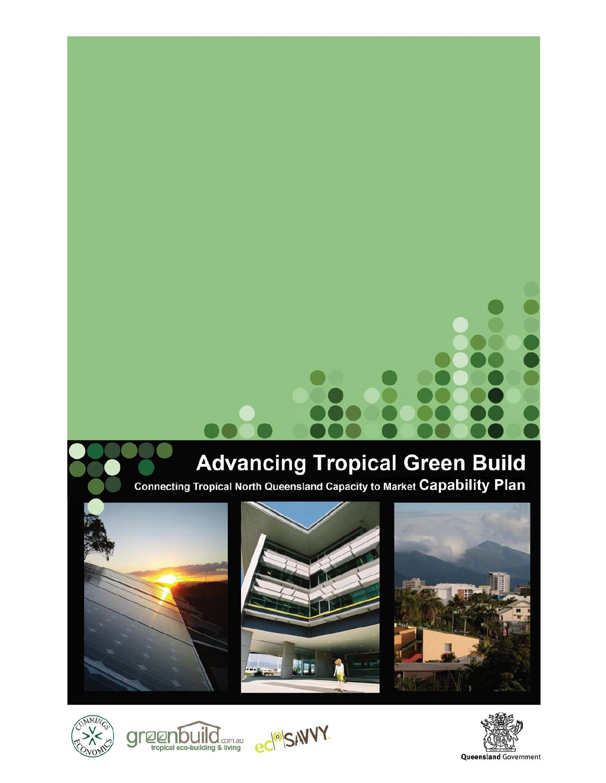# **Advancing Tropical Green Build**

Connecting Tropical North Queensland Capacity to Market Capability Plan













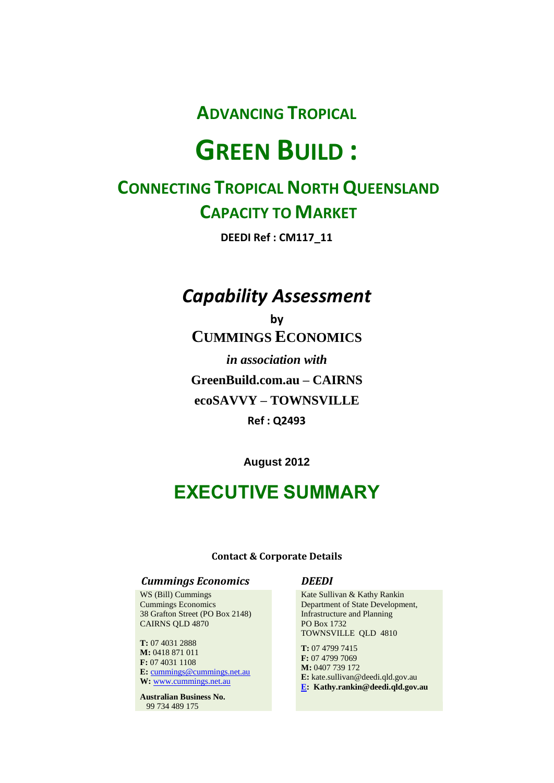**ADVANCING TROPICAL** 

# **GREEN BUILD :**

# **CONNECTING TROPICAL NORTH QUEENSLAND CAPACITY TO MARKET**

**DEEDI Ref : CM117\_11**

# *Capability Assessment*

**by CUMMINGS ECONOMICS** *in association with* **GreenBuild.com.au – CAIRNS ecoSAVVY – TOWNSVILLE Ref : Q2493**

**August 2012**

# **EXECUTIVE SUMMARY**

#### **Contact & Corporate Details**

#### *Cummings Economics DEEDI*

WS (Bill) Cummings Cummings Economics 38 Grafton Street (PO Box 2148) CAIRNS QLD 4870

**T:** 07 4031 2888 **M:** 0418 871 011 **F:** 07 4031 1108 **E:** [cummings@cummings.net.au](mailto:cummings@cummings.net.au) **W:** [www.cummings.net.au](http://www.cummings.net.au/)

**Australian Business No.** 99 734 489 175

Kate Sullivan & Kathy Rankin Department of State Development, Infrastructure and Planning PO Box 1732 TOWNSVILLE QLD 4810

**T:** 07 4799 7415 **F:** 07 4799 7069 **M:** 0407 739 172 **E:** kate.sullivan@deedi.qld.gov.au **[E:](http://e/) Kathy.rankin@deedi.qld.gov.au**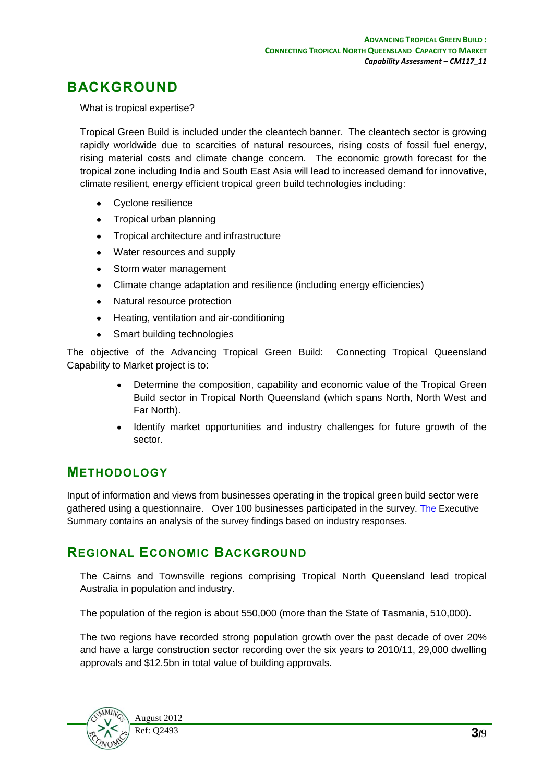# **BACKGROUND**

What is tropical expertise?

Tropical Green Build is included under the cleantech banner. The cleantech sector is growing rapidly worldwide due to scarcities of natural resources, rising costs of fossil fuel energy, rising material costs and climate change concern. The economic growth forecast for the tropical zone including India and South East Asia will lead to increased demand for innovative, climate resilient, energy efficient tropical green build technologies including:

- Cyclone resilience
- Tropical urban planning
- Tropical architecture and infrastructure
- Water resources and supply
- Storm water management
- Climate change adaptation and resilience (including energy efficiencies)
- Natural resource protection
- Heating, ventilation and air-conditioning
- Smart building technologies

The objective of the Advancing Tropical Green Build: Connecting Tropical Queensland Capability to Market project is to:

- Determine the composition, capability and economic value of the Tropical Green Build sector in Tropical North Queensland (which spans North, North West and Far North).
- Identify market opportunities and industry challenges for future growth of the sector.

# **METHODOLOGY**

Input of information and views from businesses operating in the tropical green build sector were gathered using a questionnaire. Over 100 businesses participated in the survey. The Executive Summary contains an analysis of the survey findings based on industry responses.

### **REGIONAL ECONOMIC BACKGROUND**

The Cairns and Townsville regions comprising Tropical North Queensland lead tropical Australia in population and industry.

The population of the region is about 550,000 (more than the State of Tasmania, 510,000).

The two regions have recorded strong population growth over the past decade of over 20% and have a large construction sector recording over the six years to 2010/11, 29,000 dwelling approvals and \$12.5bn in total value of building approvals.

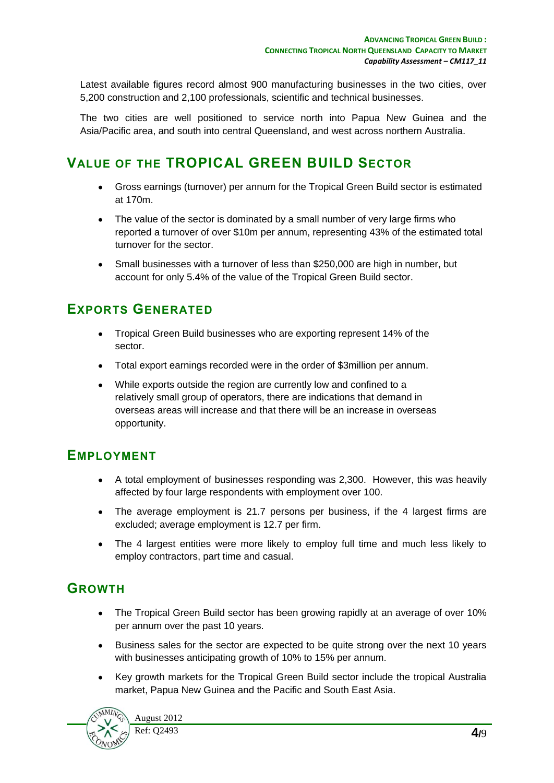Latest available figures record almost 900 manufacturing businesses in the two cities, over 5,200 construction and 2,100 professionals, scientific and technical businesses.

The two cities are well positioned to service north into Papua New Guinea and the Asia/Pacific area, and south into central Queensland, and west across northern Australia.

# **VALUE OF THE TROPICAL GREEN BUILD SECTOR**

- Gross earnings (turnover) per annum for the Tropical Green Build sector is estimated at 170m.
- The value of the sector is dominated by a small number of very large firms who reported a turnover of over \$10m per annum, representing 43% of the estimated total turnover for the sector.
- Small businesses with a turnover of less than \$250,000 are high in number, but account for only 5.4% of the value of the Tropical Green Build sector.

# **EXPORTS GENERATED**

- Tropical Green Build businesses who are exporting represent 14% of the sector.
- Total export earnings recorded were in the order of \$3million per annum.
- While exports outside the region are currently low and confined to a relatively small group of operators, there are indications that demand in overseas areas will increase and that there will be an increase in overseas opportunity.

### **EMPLOYMENT**

- A total employment of businesses responding was 2,300. However, this was heavily affected by four large respondents with employment over 100.
- The average employment is 21.7 persons per business, if the 4 largest firms are excluded; average employment is 12.7 per firm.
- The 4 largest entities were more likely to employ full time and much less likely to employ contractors, part time and casual.

# **GROWTH**

- The Tropical Green Build sector has been growing rapidly at an average of over 10% per annum over the past 10 years.
- Business sales for the sector are expected to be quite strong over the next 10 years  $\bullet$ with businesses anticipating growth of 10% to 15% per annum.
- Key growth markets for the Tropical Green Build sector include the tropical Australia  $\bullet$ market, Papua New Guinea and the Pacific and South East Asia.

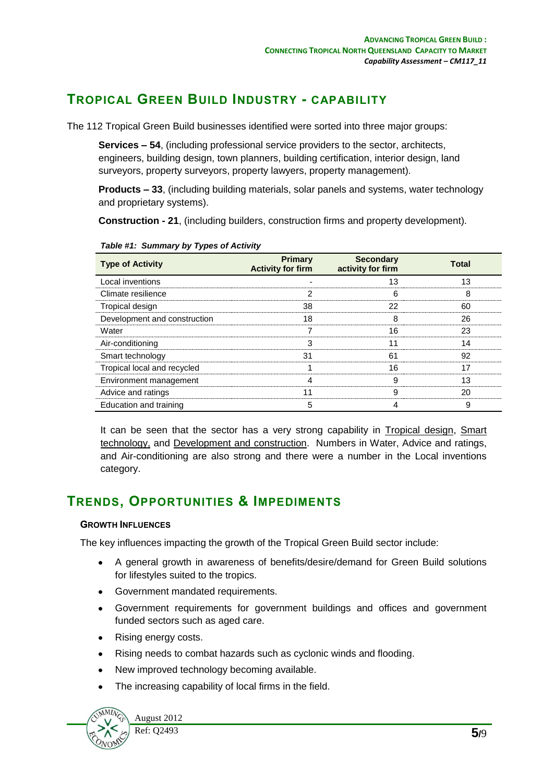# **TROPICAL GREEN BUILD INDUSTRY - CAPABILITY**

The 112 Tropical Green Build businesses identified were sorted into three major groups:

**Services – 54**, (including professional service providers to the sector, architects, engineers, building design, town planners, building certification, interior design, land surveyors, property surveyors, property lawyers, property management).

**Products – 33**, (including building materials, solar panels and systems, water technology and proprietary systems).

**Construction - 21**, (including builders, construction firms and property development).

| <b>Type of Activity</b>      | Primary<br><b>Activity for firm</b> | <b>Secondary</b><br>activity for firm | Total |
|------------------------------|-------------------------------------|---------------------------------------|-------|
| Local inventions             |                                     | 13                                    | 13    |
| Climate resilience           |                                     | 6                                     | 8     |
| Tropical design              | 38                                  | 22                                    | 60    |
| Development and construction | 18                                  | 8                                     | 26    |
| Water                        |                                     | 16                                    | 23    |
| Air-conditioning             | З                                   |                                       | 14    |
| Smart technology             | 31                                  | 61                                    | 92    |
| Tropical local and recycled  |                                     | 16                                    | 17    |
| Environment management       |                                     | 9                                     | 13    |
| Advice and ratings           |                                     |                                       | 20    |
| Education and training       | 5                                   |                                       | 9     |

*Table #1: Summary by Types of Activity*

It can be seen that the sector has a very strong capability in Tropical design, Smart technology, and Development and construction. Numbers in Water, Advice and ratings, and Air-conditioning are also strong and there were a number in the Local inventions category.

# **TRENDS, OPPORTUNITIES & IMPEDIMENTS**

#### **GROWTH INFLUENCES**

The key influences impacting the growth of the Tropical Green Build sector include:

- A general growth in awareness of benefits/desire/demand for Green Build solutions for lifestyles suited to the tropics.
- Government mandated requirements.
- $\bullet$ Government requirements for government buildings and offices and government funded sectors such as aged care.
- Rising energy costs.
- Rising needs to combat hazards such as cyclonic winds and flooding.  $\bullet$
- New improved technology becoming available.  $\bullet$
- The increasing capability of local firms in the field. $\bullet$

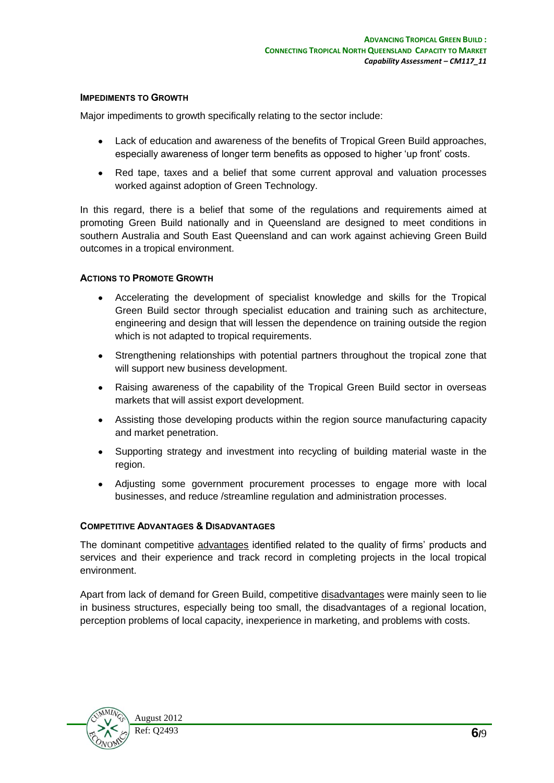#### **IMPEDIMENTS TO GROWTH**

Major impediments to growth specifically relating to the sector include:

- Lack of education and awareness of the benefits of Tropical Green Build approaches, especially awareness of longer term benefits as opposed to higher 'up front' costs.
- Red tape, taxes and a belief that some current approval and valuation processes  $\bullet$ worked against adoption of Green Technology.

In this regard, there is a belief that some of the regulations and requirements aimed at promoting Green Build nationally and in Queensland are designed to meet conditions in southern Australia and South East Queensland and can work against achieving Green Build outcomes in a tropical environment.

#### **ACTIONS TO PROMOTE GROWTH**

- Accelerating the development of specialist knowledge and skills for the Tropical  $\bullet$  . Green Build sector through specialist education and training such as architecture, engineering and design that will lessen the dependence on training outside the region which is not adapted to tropical requirements.
- $\bullet$ Strengthening relationships with potential partners throughout the tropical zone that will support new business development.
- Raising awareness of the capability of the Tropical Green Build sector in overseas markets that will assist export development.
- Assisting those developing products within the region source manufacturing capacity and market penetration.
- Supporting strategy and investment into recycling of building material waste in the region.
- Adjusting some government procurement processes to engage more with local businesses, and reduce /streamline regulation and administration processes.

#### **COMPETITIVE ADVANTAGES & DISADVANTAGES**

The dominant competitive advantages identified related to the quality of firms' products and services and their experience and track record in completing projects in the local tropical environment.

Apart from lack of demand for Green Build, competitive disadvantages were mainly seen to lie in business structures, especially being too small, the disadvantages of a regional location, perception problems of local capacity, inexperience in marketing, and problems with costs.

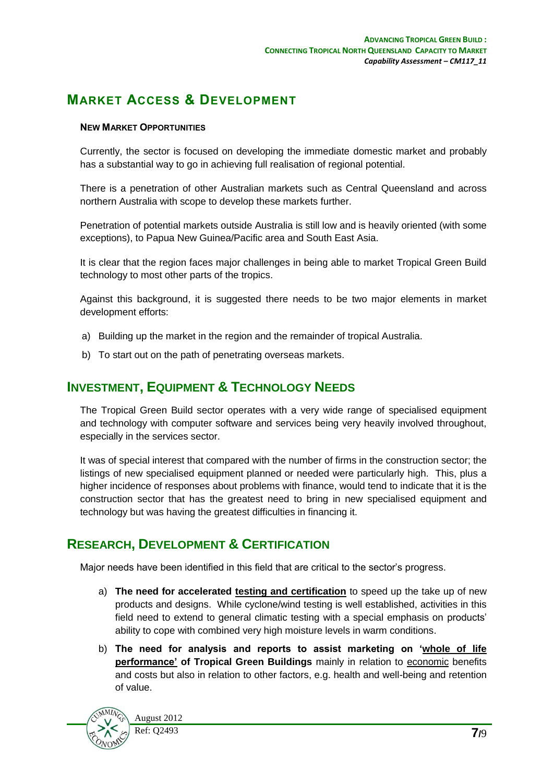# **MARKET ACCESS & DEVELOPMENT**

#### **NEW MARKET OPPORTUNITIES**

Currently, the sector is focused on developing the immediate domestic market and probably has a substantial way to go in achieving full realisation of regional potential.

There is a penetration of other Australian markets such as Central Queensland and across northern Australia with scope to develop these markets further.

Penetration of potential markets outside Australia is still low and is heavily oriented (with some exceptions), to Papua New Guinea/Pacific area and South East Asia.

It is clear that the region faces major challenges in being able to market Tropical Green Build technology to most other parts of the tropics.

Against this background, it is suggested there needs to be two major elements in market development efforts:

- a) Building up the market in the region and the remainder of tropical Australia.
- b) To start out on the path of penetrating overseas markets.

# **INVESTMENT, EQUIPMENT & TECHNOLOGY NEEDS**

The Tropical Green Build sector operates with a very wide range of specialised equipment and technology with computer software and services being very heavily involved throughout, especially in the services sector.

It was of special interest that compared with the number of firms in the construction sector; the listings of new specialised equipment planned or needed were particularly high. This, plus a higher incidence of responses about problems with finance, would tend to indicate that it is the construction sector that has the greatest need to bring in new specialised equipment and technology but was having the greatest difficulties in financing it.

# **RESEARCH, DEVELOPMENT & CERTIFICATION**

Major needs have been identified in this field that are critical to the sector's progress.

- a) **The need for accelerated testing and certification** to speed up the take up of new products and designs. While cyclone/wind testing is well established, activities in this field need to extend to general climatic testing with a special emphasis on products' ability to cope with combined very high moisture levels in warm conditions.
- b) **The need for analysis and reports to assist marketing on 'whole of life performance' of Tropical Green Buildings** mainly in relation to economic benefits and costs but also in relation to other factors, e.g. health and well-being and retention of value.

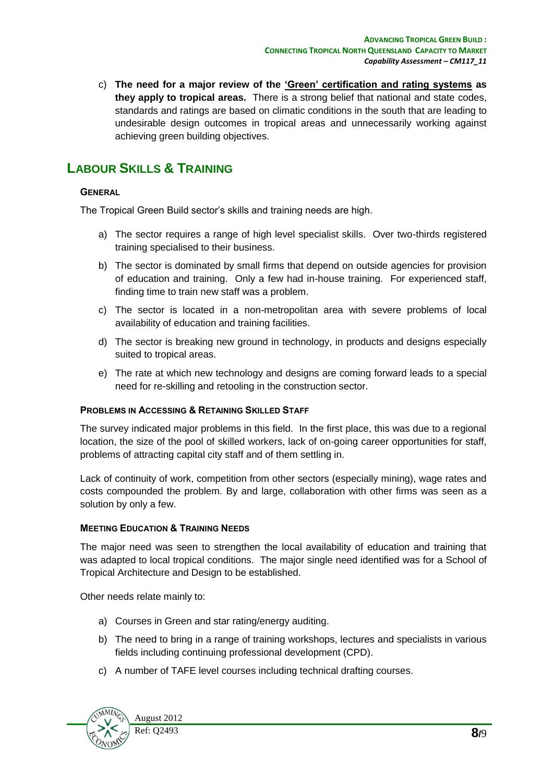c) **The need for a major review of the 'Green' certification and rating systems as they apply to tropical areas.** There is a strong belief that national and state codes, standards and ratings are based on climatic conditions in the south that are leading to undesirable design outcomes in tropical areas and unnecessarily working against achieving green building objectives.

# **LABOUR SKILLS & TRAINING**

#### **GENERAL**

The Tropical Green Build sector's skills and training needs are high.

- a) The sector requires a range of high level specialist skills. Over two-thirds registered training specialised to their business.
- b) The sector is dominated by small firms that depend on outside agencies for provision of education and training. Only a few had in-house training. For experienced staff, finding time to train new staff was a problem.
- c) The sector is located in a non-metropolitan area with severe problems of local availability of education and training facilities.
- d) The sector is breaking new ground in technology, in products and designs especially suited to tropical areas.
- e) The rate at which new technology and designs are coming forward leads to a special need for re-skilling and retooling in the construction sector.

#### **PROBLEMS IN ACCESSING & RETAINING SKILLED STAFF**

The survey indicated major problems in this field. In the first place, this was due to a regional location, the size of the pool of skilled workers, lack of on-going career opportunities for staff, problems of attracting capital city staff and of them settling in.

Lack of continuity of work, competition from other sectors (especially mining), wage rates and costs compounded the problem. By and large, collaboration with other firms was seen as a solution by only a few.

#### **MEETING EDUCATION & TRAINING NEEDS**

The major need was seen to strengthen the local availability of education and training that was adapted to local tropical conditions. The major single need identified was for a School of Tropical Architecture and Design to be established.

Other needs relate mainly to:

- a) Courses in Green and star rating/energy auditing.
- b) The need to bring in a range of training workshops, lectures and specialists in various fields including continuing professional development (CPD).
- c) A number of TAFE level courses including technical drafting courses.